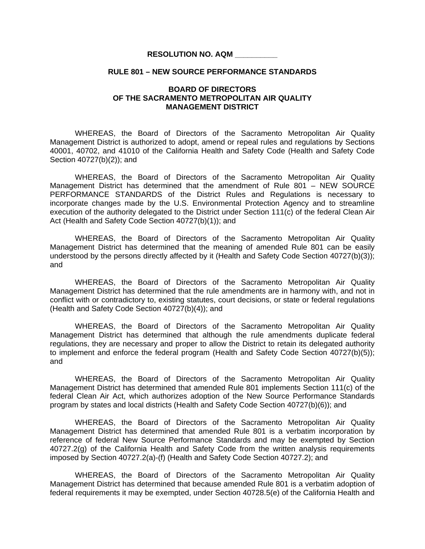## **RESOLUTION NO. AQM \_\_\_\_\_\_\_\_\_\_**

## **RULE 801 – NEW SOURCE PERFORMANCE STANDARDS**

## **BOARD OF DIRECTORS OF THE SACRAMENTO METROPOLITAN AIR QUALITY MANAGEMENT DISTRICT**

 WHEREAS, the Board of Directors of the Sacramento Metropolitan Air Quality Management District is authorized to adopt, amend or repeal rules and regulations by Sections 40001, 40702, and 41010 of the California Health and Safety Code (Health and Safety Code Section 40727(b)(2)); and

 WHEREAS, the Board of Directors of the Sacramento Metropolitan Air Quality Management District has determined that the amendment of Rule 801 – NEW SOURCE PERFORMANCE STANDARDS of the District Rules and Regulations is necessary to incorporate changes made by the U.S. Environmental Protection Agency and to streamline execution of the authority delegated to the District under Section 111(c) of the federal Clean Air Act (Health and Safety Code Section 40727(b)(1)); and

 WHEREAS, the Board of Directors of the Sacramento Metropolitan Air Quality Management District has determined that the meaning of amended Rule 801 can be easily understood by the persons directly affected by it (Health and Safety Code Section 40727(b)(3)); and

 WHEREAS, the Board of Directors of the Sacramento Metropolitan Air Quality Management District has determined that the rule amendments are in harmony with, and not in conflict with or contradictory to, existing statutes, court decisions, or state or federal regulations (Health and Safety Code Section 40727(b)(4)); and

 WHEREAS, the Board of Directors of the Sacramento Metropolitan Air Quality Management District has determined that although the rule amendments duplicate federal regulations, they are necessary and proper to allow the District to retain its delegated authority to implement and enforce the federal program (Health and Safety Code Section 40727(b)(5)); and

WHEREAS, the Board of Directors of the Sacramento Metropolitan Air Quality Management District has determined that amended Rule 801 implements Section 111(c) of the federal Clean Air Act, which authorizes adoption of the New Source Performance Standards program by states and local districts (Health and Safety Code Section 40727(b)(6)); and

WHEREAS, the Board of Directors of the Sacramento Metropolitan Air Quality Management District has determined that amended Rule 801 is a verbatim incorporation by reference of federal New Source Performance Standards and may be exempted by Section 40727.2(g) of the California Health and Safety Code from the written analysis requirements imposed by Section 40727.2(a)-(f) (Health and Safety Code Section 40727.2); and

WHEREAS, the Board of Directors of the Sacramento Metropolitan Air Quality Management District has determined that because amended Rule 801 is a verbatim adoption of federal requirements it may be exempted, under Section 40728.5(e) of the California Health and